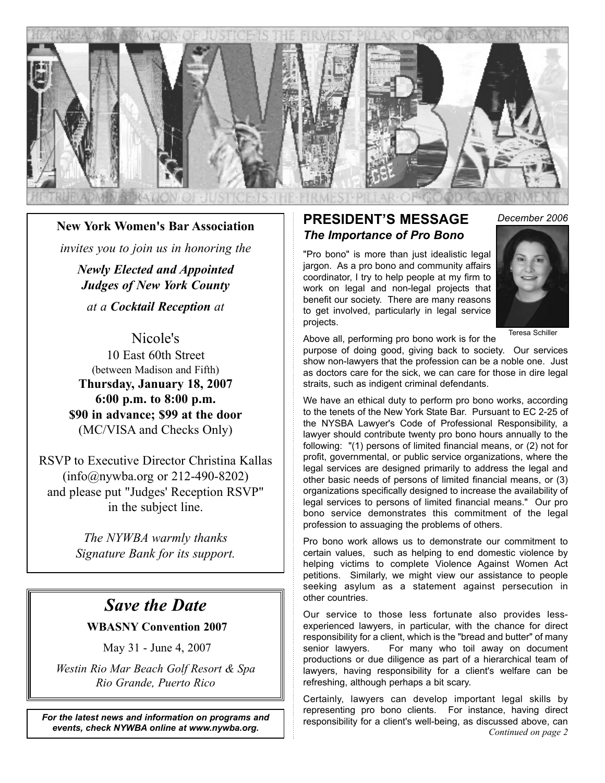

#### **New York Women's Bar Association**

*invites you to join us in honoring the*

*Newly Elected and Appointed Judges of New York County*

*at a Cocktail Reception at*

Nicole's 10 East 60th Street (between Madison and Fifth) **Thursday, January 18, 2007 6:00 p.m. to 8:00 p.m. \$90 in advance; \$99 at the door** (MC/VISA and Checks Only)

RSVP to Executive Director Christina Kallas (info@nywba.org or 212-490-8202) and please put "Judges' Reception RSVP" in the subject line.

> *The NYWBA warmly thanks Signature Bank for its support.*

### *Save the Date*

#### **WBASNY Convention 2007**

May 31 - June 4, 2007

*Westin Rio Mar Beach Golf Resort & Spa Rio Grande, Puerto Rico*

*For the latest news and information on programs and events, check NYWBA online at www.nywba.org.*

#### **PRESIDENT'S MESSAGE** *The Importance of Pro Bono*

"Pro bono" is more than just idealistic legal jargon. As a pro bono and community affairs coordinator, I try to help people at my firm to work on legal and non-legal projects that benefit our society. There are many reasons to get involved, particularly in legal service projects.

*December 2006*



Teresa Schiller

Above all, performing pro bono work is for the

purpose of doing good, giving back to society. Our services show non-lawyers that the profession can be a noble one. Just as doctors care for the sick, we can care for those in dire legal straits, such as indigent criminal defendants.

We have an ethical duty to perform pro bono works, according to the tenets of the New York State Bar. Pursuant to EC 2-25 of the NYSBA Lawyer's Code of Professional Responsibility, a lawyer should contribute twenty pro bono hours annually to the following: "(1) persons of limited financial means, or (2) not for profit, governmental, or public service organizations, where the legal services are designed primarily to address the legal and other basic needs of persons of limited financial means, or (3) organizations specifically designed to increase the availability of legal services to persons of limited financial means." Our pro bono service demonstrates this commitment of the legal profession to assuaging the problems of others.

Pro bono work allows us to demonstrate our commitment to certain values, such as helping to end domestic violence by helping victims to complete Violence Against Women Act petitions. Similarly, we might view our assistance to people seeking asylum as a statement against persecution in other countries.

Our service to those less fortunate also provides lessexperienced lawyers, in particular, with the chance for direct responsibility for a client, which is the "bread and butter" of many senior lawyers. For many who toil away on document productions or due diligence as part of a hierarchical team of lawyers, having responsibility for a client's welfare can be refreshing, although perhaps a bit scary.

Certainly, lawyers can develop important legal skills by representing pro bono clients. For instance, having direct responsibility for a client's well-being, as discussed above, can *Continued on page 2*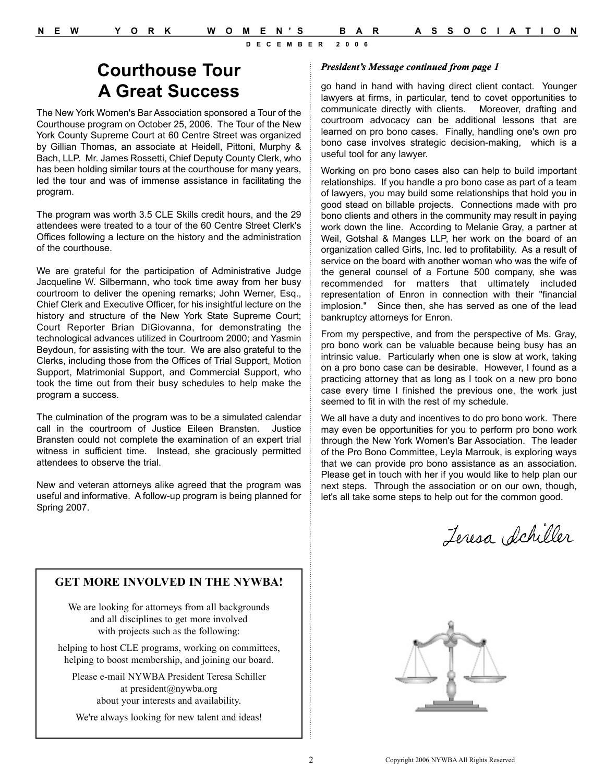# **Courthouse Tour A Great Success**

The New York Women's Bar Association sponsored a Tour of the Courthouse program on October 25, 2006. The Tour of the New York County Supreme Court at 60 Centre Street was organized by Gillian Thomas, an associate at Heidell, Pittoni, Murphy & Bach, LLP. Mr. James Rossetti, Chief Deputy County Clerk, who has been holding similar tours at the courthouse for many years, led the tour and was of immense assistance in facilitating the program.

The program was worth 3.5 CLE Skills credit hours, and the 29 attendees were treated to a tour of the 60 Centre Street Clerk's Offices following a lecture on the history and the administration of the courthouse.

We are grateful for the participation of Administrative Judge Jacqueline W. Silbermann, who took time away from her busy courtroom to deliver the opening remarks; John Werner, Esq., Chief Clerk and Executive Officer, for his insightful lecture on the history and structure of the New York State Supreme Court; Court Reporter Brian DiGiovanna, for demonstrating the technological advances utilized in Courtroom 2000; and Yasmin Beydoun, for assisting with the tour. We are also grateful to the Clerks, including those from the Offices of Trial Support, Motion Support, Matrimonial Support, and Commercial Support, who took the time out from their busy schedules to help make the program a success.

The culmination of the program was to be a simulated calendar call in the courtroom of Justice Eileen Bransten. Justice Bransten could not complete the examination of an expert trial witness in sufficient time. Instead, she graciously permitted attendees to observe the trial.

New and veteran attorneys alike agreed that the program was useful and informative. A follow-up program is being planned for Spring 2007.

#### *President's Message continued from page 1*

go hand in hand with having direct client contact. Younger lawyers at firms, in particular, tend to covet opportunities to communicate directly with clients. Moreover, drafting and courtroom advocacy can be additional lessons that are learned on pro bono cases. Finally, handling one's own pro bono case involves strategic decision-making, which is a useful tool for any lawyer.

Working on pro bono cases also can help to build important relationships. If you handle a pro bono case as part of a team of lawyers, you may build some relationships that hold you in good stead on billable projects. Connections made with pro bono clients and others in the community may result in paying work down the line. According to Melanie Gray, a partner at Weil, Gotshal & Manges LLP, her work on the board of an organization called Girls, Inc. led to profitability. As a result of service on the board with another woman who was the wife of the general counsel of a Fortune 500 company, she was recommended for matters that ultimately included representation of Enron in connection with their "financial implosion." Since then, she has served as one of the lead bankruptcy attorneys for Enron.

From my perspective, and from the perspective of Ms. Gray, pro bono work can be valuable because being busy has an intrinsic value. Particularly when one is slow at work, taking on a pro bono case can be desirable. However, I found as a practicing attorney that as long as I took on a new pro bono case every time I finished the previous one, the work just seemed to fit in with the rest of my schedule.

We all have a duty and incentives to do pro bono work. There may even be opportunities for you to perform pro bono work through the New York Women's Bar Association. The leader of the Pro Bono Committee, Leyla Marrouk, is exploring ways that we can provide pro bono assistance as an association. Please get in touch with her if you would like to help plan our next steps. Through the association or on our own, though, let's all take some steps to help out for the common good.

Jeresa Schiller

#### **GET MORE INVOLVED IN THE NYWBA!**

We are looking for attorneys from all backgrounds and all disciplines to get more involved with projects such as the following:

helping to host CLE programs, working on committees, helping to boost membership, and joining our board.

Please e-mail NYWBA President Teresa Schiller at president@nywba.org about your interests and availability.

We're always looking for new talent and ideas!

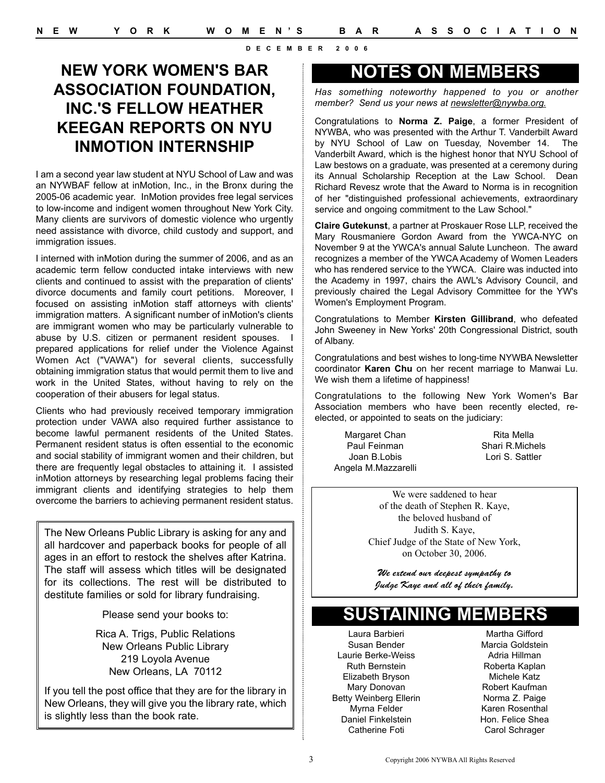### NEW YORK WOMEN'S BAR NOTES ON MEMBERS **ASSOCIATION FOUNDATION, INC.'S FELLOW HEATHER KEEGAN REPORTS ON NYU INMOTION INTERNSHIP**

I am a second year law student at NYU School of Law and was an NYWBAF fellow at inMotion, Inc., in the Bronx during the 2005-06 academic year. InMotion provides free legal services to low-income and indigent women throughout New York City. Many clients are survivors of domestic violence who urgently need assistance with divorce, child custody and support, and immigration issues.

I interned with inMotion during the summer of 2006, and as an academic term fellow conducted intake interviews with new clients and continued to assist with the preparation of clients' divorce documents and family court petitions. Moreover, I focused on assisting inMotion staff attorneys with clients' immigration matters. A significant number of inMotion's clients are immigrant women who may be particularly vulnerable to abuse by U.S. citizen or permanent resident spouses. I prepared applications for relief under the Violence Against Women Act ("VAWA") for several clients, successfully obtaining immigration status that would permit them to live and work in the United States, without having to rely on the cooperation of their abusers for legal status.

Clients who had previously received temporary immigration protection under VAWA also required further assistance to become lawful permanent residents of the United States. Permanent resident status is often essential to the economic and social stability of immigrant women and their children, but there are frequently legal obstacles to attaining it. I assisted inMotion attorneys by researching legal problems facing their immigrant clients and identifying strategies to help them overcome the barriers to achieving permanent resident status.

The New Orleans Public Library is asking for any and all hardcover and paperback books for people of all ages in an effort to restock the shelves after Katrina. The staff will assess which titles will be designated for its collections. The rest will be distributed to destitute families or sold for library fundraising.

Please send your books to:

Rica A. Trigs, Public Relations New Orleans Public Library 219 Loyola Avenue New Orleans, LA 70112

If you tell the post office that they are for the library in New Orleans, they will give you the library rate, which is slightly less than the book rate.

*Has something noteworthy happened to you or another member? Send us your news at newsletter@nywba.org.*

Congratulations to **Norma Z. Paige**, a former President of NYWBA, who was presented with the Arthur T. Vanderbilt Award by NYU School of Law on Tuesday, November 14. The Vanderbilt Award, which is the highest honor that NYU School of Law bestows on a graduate, was presented at a ceremony during its Annual Scholarship Reception at the Law School. Dean Richard Revesz wrote that the Award to Norma is in recognition of her "distinguished professional achievements, extraordinary service and ongoing commitment to the Law School."

**Claire Gutekunst**, a partner at Proskauer Rose LLP, received the Mary Rousmaniere Gordon Award from the YWCA-NYC on November 9 at the YWCA's annual Salute Luncheon. The award recognizes a member of the YWCA Academy of Women Leaders who has rendered service to the YWCA. Claire was inducted into the Academy in 1997, chairs the AWL's Advisory Council, and previously chaired the Legal Advisory Committee for the YW's Women's Employment Program.

Congratulations to Member **Kirsten Gillibrand**, who defeated John Sweeney in New Yorks' 20th Congressional District, south of Albany.

Congratulations and best wishes to long-time NYWBA Newsletter coordinator **Karen Chu** on her recent marriage to Manwai Lu. We wish them a lifetime of happiness!

Congratulations to the following New York Women's Bar Association members who have been recently elected, reelected, or appointed to seats on the judiciary:

Margaret Chan Paul Feinman Joan B.Lobis Angela M.Mazzarelli

Rita Mella Shari R.Michels Lori S. Sattler

We were saddened to hear of the death of Stephen R. Kaye, the beloved husband of Judith S. Kaye, Chief Judge of the State of New York, on October 30, 2006.

We extend our deepest sympathy to Judge Kaye and all of their family.

### **SUSTAINING MEMBERS**

Laura Barbieri Susan Bender Laurie Berke-Weiss Ruth Bernstein Elizabeth Bryson Mary Donovan Betty Weinberg Ellerin Myrna Felder Daniel Finkelstein Catherine Foti

Martha Gifford Marcia Goldstein Adria Hillman Roberta Kaplan Michele Katz Robert Kaufman Norma Z. Paige Karen Rosenthal Hon. Felice Shea Carol Schrager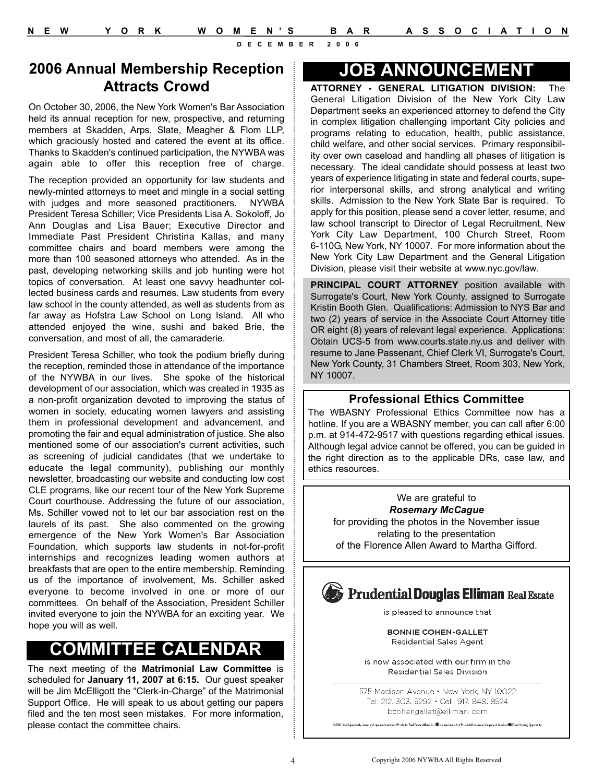#### **2006 Annual Membership Reception Attracts Crowd**

On October 30, 2006, the New York Women's Bar Association held its annual reception for new, prospective, and returning members at Skadden, Arps, Slate, Meagher & Flom LLP, which graciously hosted and catered the event at its office. Thanks to Skadden's continued participation, the NYWBA was again able to offer this reception free of charge.

The reception provided an opportunity for law students and newly-minted attorneys to meet and mingle in a social setting with judges and more seasoned practitioners. NYWBA President Teresa Schiller; Vice Presidents Lisa A. Sokoloff, Jo Ann Douglas and Lisa Bauer; Executive Director and Immediate Past President Christina Kallas, and many committee chairs and board members were among the more than 100 seasoned attorneys who attended. As in the past, developing networking skills and job hunting were hot topics of conversation. At least one savvy headhunter collected business cards and resumes. Law students from every law school in the county attended, as well as students from as far away as Hofstra Law School on Long Island. All who attended enjoyed the wine, sushi and baked Brie, the conversation, and most of all, the camaraderie.

President Teresa Schiller, who took the podium briefly during the reception, reminded those in attendance of the importance of the NYWBA in our lives. She spoke of the historical development of our association, which was created in 1935 as a non-profit organization devoted to improving the status of women in society, educating women lawyers and assisting them in professional development and advancement, and promoting the fair and equal administration of justice. She also mentioned some of our association's current activities, such as screening of judicial candidates (that we undertake to educate the legal community), publishing our monthly newsletter, broadcasting our website and conducting low cost CLE programs, like our recent tour of the New York Supreme Court courthouse. Addressing the future of our association, Ms. Schiller vowed not to let our bar association rest on the laurels of its past. She also commented on the growing emergence of the New York Women's Bar Association Foundation, which supports law students in not-for-profit internships and recognizes leading women authors at breakfasts that are open to the entire membership. Reminding us of the importance of involvement, Ms. Schiller asked everyone to become involved in one or more of our committees. On behalf of the Association, President Schiller invited everyone to join the NYWBA for an exciting year. We hope you will as well.

### **COMMITTEE CALENDAR**

The next meeting of the **Matrimonial Law Committee** is scheduled for **January 11, 2007 at 6:15.** Our guest speaker will be Jim McElligott the "Clerk-in-Charge" of the Matrimonial Support Office. He will speak to us about getting our papers filed and the ten most seen mistakes. For more information, please contact the committee chairs.

### **JOB ANNOUNCEMENT**

**ATTORNEY - GENERAL LITIGATION DIVISION:** The General Litigation Division of the New York City Law Department seeks an experienced attorney to defend the City in complex litigation challenging important City policies and programs relating to education, health, public assistance, child welfare, and other social services. Primary responsibility over own caseload and handling all phases of litigation is necessary. The ideal candidate should possess at least two years of experience litigating in state and federal courts, superior interpersonal skills, and strong analytical and writing skills. Admission to the New York State Bar is required. To apply for this position, please send a cover letter, resume, and law school transcript to Director of Legal Recruitment, New York City Law Department, 100 Church Street, Room 6-110G, New York, NY 10007. For more information about the New York City Law Department and the General Litigation Division, please visit their website at www.nyc.gov/law.

**PRINCIPAL COURT ATTORNEY** position available with Surrogate's Court, New York County, assigned to Surrogate Kristin Booth Glen. Qualifications: Admission to NYS Bar and two (2) years of service in the Associate Court Attorney title OR eight (8) years of relevant legal experience. Applications: Obtain UCS-5 from www.courts.state.ny.us and deliver with resume to Jane Passenant, Chief Clerk VI, Surrogate's Court, New York County, 31 Chambers Street, Room 303, New York, NY 10007.

#### **Professional Ethics Committee**

The WBASNY Professional Ethics Committee now has a hotline. If you are a WBASNY member, you can call after 6:00 p.m. at 914-472-9517 with questions regarding ethical issues. Although legal advice cannot be offered, you can be guided in the right direction as to the applicable DRs, case law, and ethics resources.

We are grateful to *Rosemary McCague* for providing the photos in the November issue relating to the presentation of the Florence Allen Award to Martha Gifford.

### **Condential Douglas Elliman Real Estate**

is pleased to announce that

**BONNIE COHEN-GALLET** Residential Sales Agent

is now associated with our firm in the **Residential Sales Division** 

575 Madison Avenue • New York, NY 10022 Tel: 212, 303, 5292 • Cell: 917, 848, 8524 bcohengallet@elliman.com

ad and operated member of Prudential Real Estate Affiliate, Inc. Will is a service mark of Prudential Insurance Company of America. [100 Equal Housing Op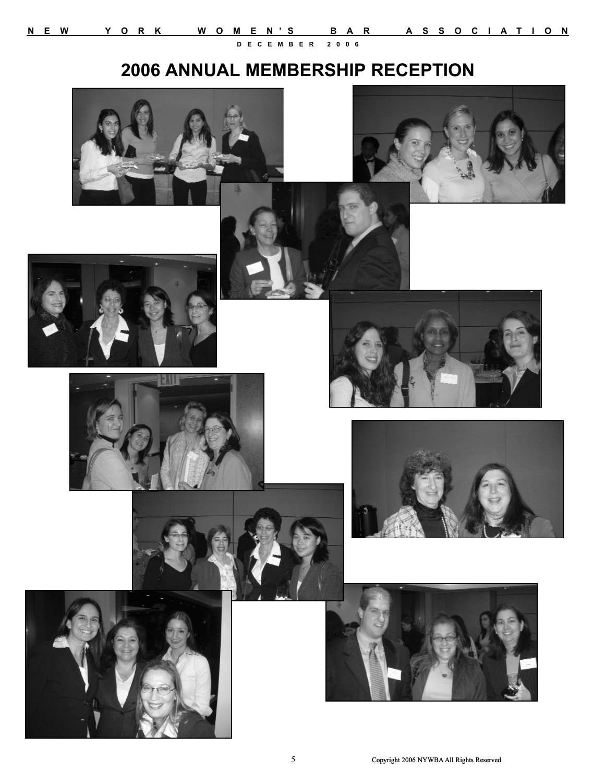## **2006 ANNUAL MEMBERSHIP RECEPTION**